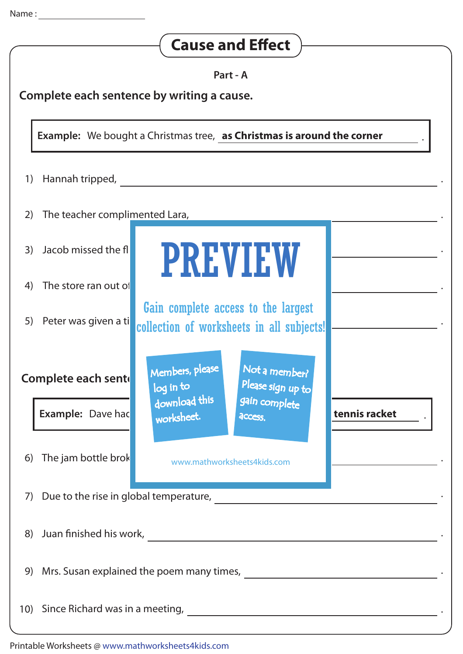| <b>Cause and Effect</b>                                                       |                                |                                                                                                   |  |  |
|-------------------------------------------------------------------------------|--------------------------------|---------------------------------------------------------------------------------------------------|--|--|
| Part - A<br>Complete each sentence by writing a cause.                        |                                |                                                                                                   |  |  |
| <b>Example:</b> We bought a Christmas tree, as Christmas is around the corner |                                |                                                                                                   |  |  |
| 1)                                                                            | Hannah tripped,                |                                                                                                   |  |  |
| 2)                                                                            | The teacher complimented Lara, |                                                                                                   |  |  |
| 3)                                                                            | Jacob missed the fli           | <b>PREVIEW</b>                                                                                    |  |  |
| 4)                                                                            | The store ran out of           |                                                                                                   |  |  |
| 5)                                                                            | Peter was given a ti           | Gain complete access to the largest<br>collection of worksheets in all subjects!                  |  |  |
| Members, please<br>Complete each sente<br>log in to                           |                                | Not a member?<br>Please sign up to                                                                |  |  |
|                                                                               | <b>Example: Dave had</b>       | download this<br>gain complete<br>tennis racket<br>worksheet.<br>access.                          |  |  |
| 6)                                                                            | The jam bottle brok            | www.mathworksheets4kids.com                                                                       |  |  |
|                                                                               |                                |                                                                                                   |  |  |
| 8)                                                                            |                                |                                                                                                   |  |  |
| 9)                                                                            |                                |                                                                                                   |  |  |
|                                                                               |                                | 10) Since Richard was in a meeting, <b>Fig. 2.1. Conservation</b> Since Richard was in a meeting, |  |  |